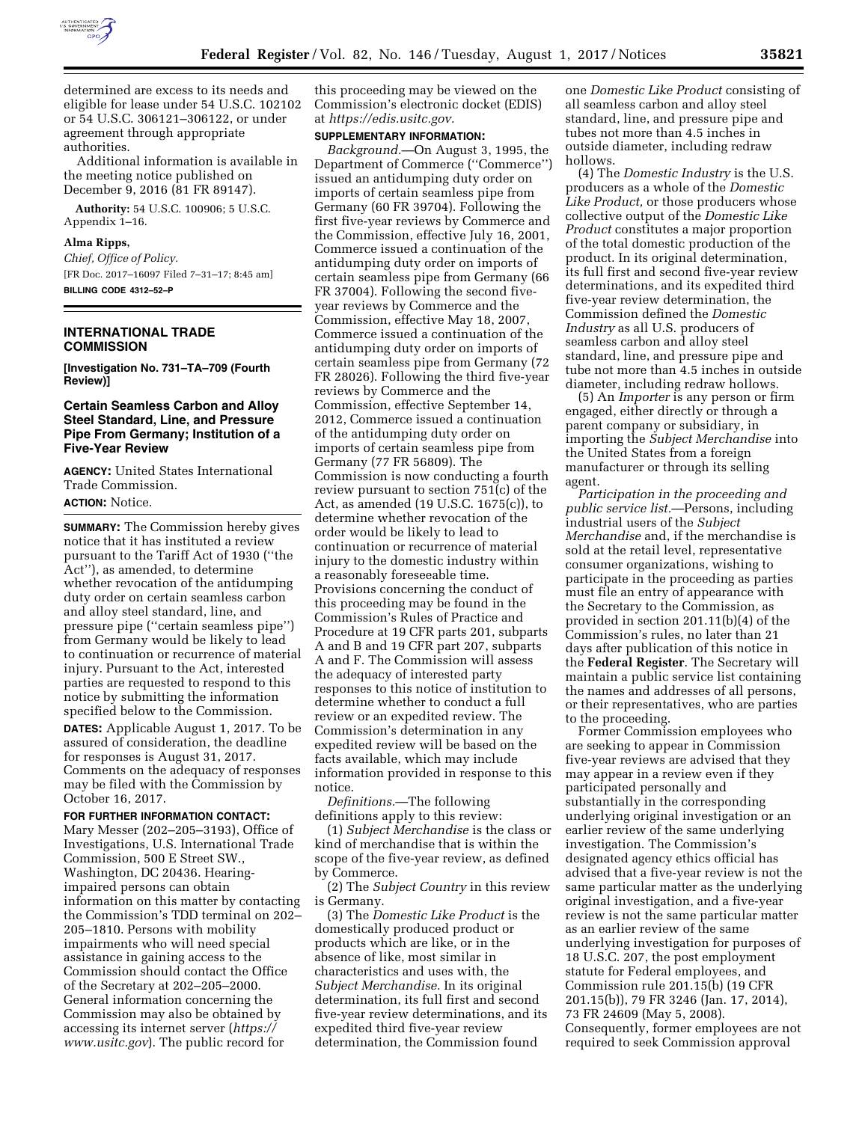

determined are excess to its needs and eligible for lease under 54 U.S.C. 102102 or 54 U.S.C. 306121–306122, or under agreement through appropriate authorities.

Additional information is available in the meeting notice published on December 9, 2016 (81 FR 89147).

**Authority:** 54 U.S.C. 100906; 5 U.S.C. Appendix 1–16.

#### **Alma Ripps,**

*Chief, Office of Policy.*  [FR Doc. 2017–16097 Filed 7–31–17; 8:45 am] **BILLING CODE 4312–52–P** 

### **INTERNATIONAL TRADE COMMISSION**

**[Investigation No. 731–TA–709 (Fourth Review)]** 

## **Certain Seamless Carbon and Alloy Steel Standard, Line, and Pressure Pipe From Germany; Institution of a Five-Year Review**

**AGENCY:** United States International Trade Commission. **ACTION:** Notice.

**SUMMARY:** The Commission hereby gives notice that it has instituted a review pursuant to the Tariff Act of 1930 (''the Act''), as amended, to determine whether revocation of the antidumping duty order on certain seamless carbon and alloy steel standard, line, and pressure pipe (''certain seamless pipe'') from Germany would be likely to lead to continuation or recurrence of material injury. Pursuant to the Act, interested parties are requested to respond to this notice by submitting the information specified below to the Commission. **DATES:** Applicable August 1, 2017. To be assured of consideration, the deadline for responses is August 31, 2017. Comments on the adequacy of responses

may be filed with the Commission by October 16, 2017.

**FOR FURTHER INFORMATION CONTACT:**  Mary Messer (202–205–3193), Office of Investigations, U.S. International Trade Commission, 500 E Street SW., Washington, DC 20436. Hearingimpaired persons can obtain information on this matter by contacting the Commission's TDD terminal on 202– 205–1810. Persons with mobility impairments who will need special assistance in gaining access to the Commission should contact the Office of the Secretary at 202–205–2000. General information concerning the Commission may also be obtained by accessing its internet server (*[https://](https://www.usitc.gov) [www.usitc.gov](https://www.usitc.gov)*). The public record for

this proceeding may be viewed on the Commission's electronic docket (EDIS) at *[https://edis.usitc.gov.](https://edis.usitc.gov)* 

# **SUPPLEMENTARY INFORMATION:**

*Background.*—On August 3, 1995, the Department of Commerce (''Commerce'') issued an antidumping duty order on imports of certain seamless pipe from Germany (60 FR 39704). Following the first five-year reviews by Commerce and the Commission, effective July 16, 2001, Commerce issued a continuation of the antidumping duty order on imports of certain seamless pipe from Germany (66 FR 37004). Following the second fiveyear reviews by Commerce and the Commission, effective May 18, 2007, Commerce issued a continuation of the antidumping duty order on imports of certain seamless pipe from Germany (72 FR 28026). Following the third five-year reviews by Commerce and the Commission, effective September 14, 2012, Commerce issued a continuation of the antidumping duty order on imports of certain seamless pipe from Germany (77 FR 56809). The Commission is now conducting a fourth review pursuant to section 751(c) of the Act, as amended (19 U.S.C. 1675(c)), to determine whether revocation of the order would be likely to lead to continuation or recurrence of material injury to the domestic industry within a reasonably foreseeable time. Provisions concerning the conduct of this proceeding may be found in the Commission's Rules of Practice and Procedure at 19 CFR parts 201, subparts A and B and 19 CFR part 207, subparts A and F. The Commission will assess the adequacy of interested party responses to this notice of institution to determine whether to conduct a full review or an expedited review. The Commission's determination in any expedited review will be based on the facts available, which may include information provided in response to this notice.

*Definitions.*—The following definitions apply to this review:

(1) *Subject Merchandise* is the class or kind of merchandise that is within the scope of the five-year review, as defined by Commerce.

(2) The *Subject Country* in this review is Germany.

(3) The *Domestic Like Product* is the domestically produced product or products which are like, or in the absence of like, most similar in characteristics and uses with, the *Subject Merchandise.* In its original determination, its full first and second five-year review determinations, and its expedited third five-year review determination, the Commission found

one *Domestic Like Product* consisting of all seamless carbon and alloy steel standard, line, and pressure pipe and tubes not more than 4.5 inches in outside diameter, including redraw hollows.

(4) The *Domestic Industry* is the U.S. producers as a whole of the *Domestic Like Product,* or those producers whose collective output of the *Domestic Like Product* constitutes a major proportion of the total domestic production of the product. In its original determination, its full first and second five-year review determinations, and its expedited third five-year review determination, the Commission defined the *Domestic Industry* as all U.S. producers of seamless carbon and alloy steel standard, line, and pressure pipe and tube not more than 4.5 inches in outside diameter, including redraw hollows.

(5) An *Importer* is any person or firm engaged, either directly or through a parent company or subsidiary, in importing the *Subject Merchandise* into the United States from a foreign manufacturer or through its selling agent.

*Participation in the proceeding and public service list.*—Persons, including industrial users of the *Subject Merchandise* and, if the merchandise is sold at the retail level, representative consumer organizations, wishing to participate in the proceeding as parties must file an entry of appearance with the Secretary to the Commission, as provided in section 201.11(b)(4) of the Commission's rules, no later than 21 days after publication of this notice in the **Federal Register**. The Secretary will maintain a public service list containing the names and addresses of all persons, or their representatives, who are parties to the proceeding.

Former Commission employees who are seeking to appear in Commission five-year reviews are advised that they may appear in a review even if they participated personally and substantially in the corresponding underlying original investigation or an earlier review of the same underlying investigation. The Commission's designated agency ethics official has advised that a five-year review is not the same particular matter as the underlying original investigation, and a five-year review is not the same particular matter as an earlier review of the same underlying investigation for purposes of 18 U.S.C. 207, the post employment statute for Federal employees, and Commission rule 201.15(b) (19 CFR 201.15(b)), 79 FR 3246 (Jan. 17, 2014), 73 FR 24609 (May 5, 2008). Consequently, former employees are not required to seek Commission approval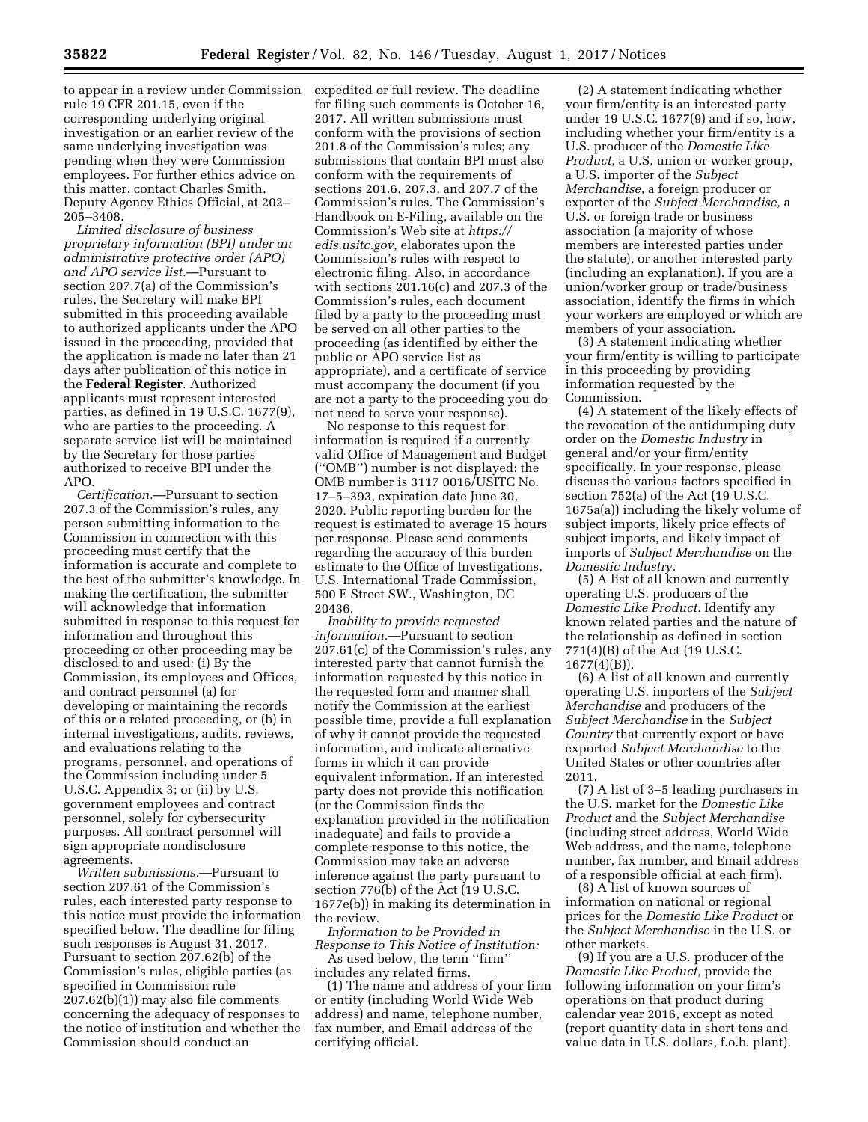to appear in a review under Commission rule 19 CFR 201.15, even if the corresponding underlying original investigation or an earlier review of the same underlying investigation was pending when they were Commission employees. For further ethics advice on this matter, contact Charles Smith, Deputy Agency Ethics Official, at 202– 205–3408.

*Limited disclosure of business proprietary information (BPI) under an administrative protective order (APO) and APO service list.*—Pursuant to section 207.7(a) of the Commission's rules, the Secretary will make BPI submitted in this proceeding available to authorized applicants under the APO issued in the proceeding, provided that the application is made no later than 21 days after publication of this notice in the **Federal Register**. Authorized applicants must represent interested parties, as defined in 19 U.S.C. 1677(9), who are parties to the proceeding. A separate service list will be maintained by the Secretary for those parties authorized to receive BPI under the APO.

*Certification.*—Pursuant to section 207.3 of the Commission's rules, any person submitting information to the Commission in connection with this proceeding must certify that the information is accurate and complete to the best of the submitter's knowledge. In making the certification, the submitter will acknowledge that information submitted in response to this request for information and throughout this proceeding or other proceeding may be disclosed to and used: (i) By the Commission, its employees and Offices, and contract personnel (a) for developing or maintaining the records of this or a related proceeding, or (b) in internal investigations, audits, reviews, and evaluations relating to the programs, personnel, and operations of the Commission including under 5 U.S.C. Appendix 3; or (ii) by U.S. government employees and contract personnel, solely for cybersecurity purposes. All contract personnel will sign appropriate nondisclosure agreements.

*Written submissions.*—Pursuant to section 207.61 of the Commission's rules, each interested party response to this notice must provide the information specified below. The deadline for filing such responses is August 31, 2017. Pursuant to section 207.62(b) of the Commission's rules, eligible parties (as specified in Commission rule 207.62(b)(1)) may also file comments concerning the adequacy of responses to the notice of institution and whether the Commission should conduct an

expedited or full review. The deadline for filing such comments is October 16, 2017. All written submissions must conform with the provisions of section 201.8 of the Commission's rules; any submissions that contain BPI must also conform with the requirements of sections 201.6, 207.3, and 207.7 of the Commission's rules. The Commission's Handbook on E-Filing, available on the Commission's Web site at *[https://](https://edis.usitc.gov) [edis.usitc.gov,](https://edis.usitc.gov)* elaborates upon the Commission's rules with respect to electronic filing. Also, in accordance with sections 201.16(c) and 207.3 of the Commission's rules, each document filed by a party to the proceeding must be served on all other parties to the proceeding (as identified by either the public or APO service list as appropriate), and a certificate of service must accompany the document (if you are not a party to the proceeding you do not need to serve your response).

No response to this request for information is required if a currently valid Office of Management and Budget (''OMB'') number is not displayed; the OMB number is 3117 0016/USITC No. 17–5–393, expiration date June 30, 2020. Public reporting burden for the request is estimated to average 15 hours per response. Please send comments regarding the accuracy of this burden estimate to the Office of Investigations, U.S. International Trade Commission, 500 E Street SW., Washington, DC 20436.

*Inability to provide requested information.*—Pursuant to section 207.61(c) of the Commission's rules, any interested party that cannot furnish the information requested by this notice in the requested form and manner shall notify the Commission at the earliest possible time, provide a full explanation of why it cannot provide the requested information, and indicate alternative forms in which it can provide equivalent information. If an interested party does not provide this notification (or the Commission finds the explanation provided in the notification inadequate) and fails to provide a complete response to this notice, the Commission may take an adverse inference against the party pursuant to section 776(b) of the Act (19 U.S.C. 1677e(b)) in making its determination in the review.

*Information to be Provided in Response to This Notice of Institution:*  As used below, the term ''firm''

includes any related firms. (1) The name and address of your firm or entity (including World Wide Web address) and name, telephone number, fax number, and Email address of the certifying official.

(2) A statement indicating whether your firm/entity is an interested party under 19 U.S.C. 1677(9) and if so, how, including whether your firm/entity is a U.S. producer of the *Domestic Like Product,* a U.S. union or worker group, a U.S. importer of the *Subject Merchandise*, a foreign producer or exporter of the *Subject Merchandise,* a U.S. or foreign trade or business association (a majority of whose members are interested parties under the statute), or another interested party (including an explanation). If you are a union/worker group or trade/business association, identify the firms in which your workers are employed or which are members of your association.

(3) A statement indicating whether your firm/entity is willing to participate in this proceeding by providing information requested by the Commission.

(4) A statement of the likely effects of the revocation of the antidumping duty order on the *Domestic Industry* in general and/or your firm/entity specifically. In your response, please discuss the various factors specified in section 752(a) of the Act (19 U.S.C. 1675a(a)) including the likely volume of subject imports, likely price effects of subject imports, and likely impact of imports of *Subject Merchandise* on the *Domestic Industry.* 

(5) A list of all known and currently operating U.S. producers of the *Domestic Like Product.* Identify any known related parties and the nature of the relationship as defined in section 771(4)(B) of the Act (19 U.S.C. 1677(4)(B)).

(6) A list of all known and currently operating U.S. importers of the *Subject Merchandise* and producers of the *Subject Merchandise* in the *Subject Country* that currently export or have exported *Subject Merchandise* to the United States or other countries after 2011.

(7) A list of 3–5 leading purchasers in the U.S. market for the *Domestic Like Product* and the *Subject Merchandise*  (including street address, World Wide Web address, and the name, telephone number, fax number, and Email address of a responsible official at each firm).

(8) A list of known sources of information on national or regional prices for the *Domestic Like Product* or the *Subject Merchandise* in the U.S. or other markets.

(9) If you are a U.S. producer of the *Domestic Like Product,* provide the following information on your firm's operations on that product during calendar year 2016, except as noted (report quantity data in short tons and value data in U.S. dollars, f.o.b. plant).